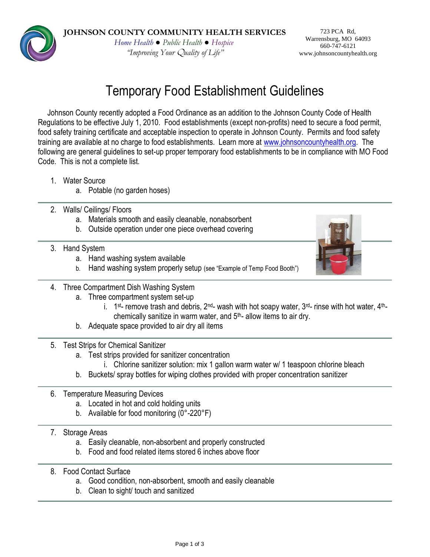*Home Health ● Public Health ● Hospice "Improving Your* Q*uality of Life"*

723 PCA Rd, Warrensburg, MO 64093 660-747-6121 www.johnsoncountyhealth.org

# Temporary Food Establishment Guidelines

Johnson County recently adopted a Food Ordinance as an addition to the Johnson County Code of Health Regulations to be effective July 1, 2010. Food establishments (except non-profits) need to secure a food permit, food safety training certificate and acceptable inspection to operate in Johnson County. Permits and food safety training are available at no charge to food establishments. Learn more at [www.johnsoncountyhealth.org.](http://www.johnsoncountyhealth.org/) The following are general guidelines to set-up proper temporary food establishments to be in compliance with MO Food Code. This is not a complete list.

- 1. Water Source
	- a. Potable (no garden hoses)
- 2. Walls/ Ceilings/ Floors
	- a. Materials smooth and easily cleanable, nonabsorbent
	- b. Outside operation under one piece overhead covering
- 3. Hand System
	- a. Hand washing system available
	- b. Hand washing system properly setup (see "Example of Temp Food Booth")



- 4. Three Compartment Dish Washing System
	- a. Three compartment system set-up
		- i. 1<sup>st</sup>- remove trash and debris, 2<sup>nd</sup>- wash with hot soapy water, 3<sup>rd</sup>- rinse with hot water, 4<sup>th</sup>chemically sanitize in warm water, and 5th- allow items to air dry.
	- b. Adequate space provided to air dry all items
- 5. Test Strips for Chemical Sanitizer
	- a. Test strips provided for sanitizer concentration
		- i. Chlorine sanitizer solution: mix 1 gallon warm water w/ 1 teaspoon chlorine bleach
	- b. Buckets/ spray bottles for wiping clothes provided with proper concentration sanitizer
- 6. Temperature Measuring Devices
	- a. Located in hot and cold holding units
	- b. Available for food monitoring (0°-220°F)
- 7. Storage Areas
	- a. Easily cleanable, non-absorbent and properly constructed
	- b. Food and food related items stored 6 inches above floor
- 8. Food Contact Surface
	- a. Good condition, non-absorbent, smooth and easily cleanable
	- b. Clean to sight/ touch and sanitized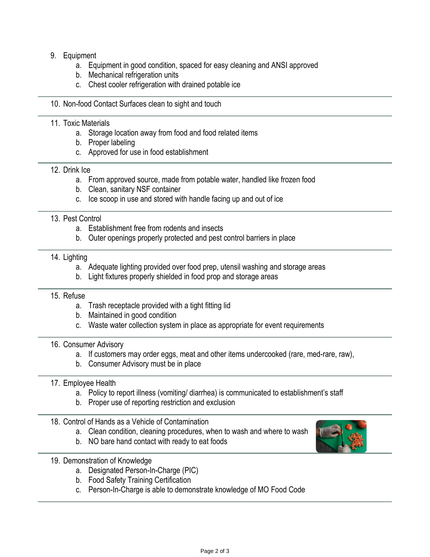# 9. Equipment

- a. Equipment in good condition, spaced for easy cleaning and ANSI approved
- b. Mechanical refrigeration units
- c. Chest cooler refrigeration with drained potable ice
- 10. Non-food Contact Surfaces clean to sight and touch

## 11. Toxic Materials

- a. Storage location away from food and food related items
- b. Proper labeling
- c. Approved for use in food establishment

## 12. Drink Ice

- a. From approved source, made from potable water, handled like frozen food
- b. Clean, sanitary NSF container
- c. Ice scoop in use and stored with handle facing up and out of ice

## 13. Pest Control

- a. Establishment free from rodents and insects
- b. Outer openings properly protected and pest control barriers in place

#### 14. Lighting

- a. Adequate lighting provided over food prep, utensil washing and storage areas
- b. Light fixtures properly shielded in food prop and storage areas

#### 15. Refuse

- a. Trash receptacle provided with a tight fitting lid
- b. Maintained in good condition
- c. Waste water collection system in place as appropriate for event requirements

#### 16. Consumer Advisory

- a. If customers may order eggs, meat and other items undercooked (rare, med-rare, raw),
- b. Consumer Advisory must be in place

### 17. Employee Health

- a. Policy to report illness (vomiting/ diarrhea) is communicated to establishment's staff
- b. Proper use of reporting restriction and exclusion
- 18. Control of Hands as a Vehicle of Contamination
	- a. Clean condition, cleaning procedures, when to wash and where to wash
	- b. NO bare hand contact with ready to eat foods
- 19. Demonstration of Knowledge
	- a. Designated Person-In-Charge (PIC)
	- b. Food Safety Training Certification
	- c. Person-In-Charge is able to demonstrate knowledge of MO Food Code